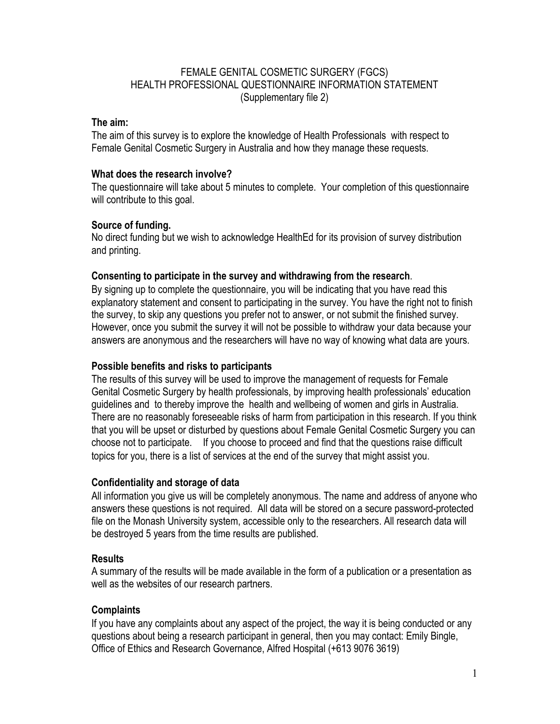## FEMALE GENITAL COSMETIC SURGERY (FGCS) HEALTH PROFESSIONAL QUESTIONNAIRE INFORMATION STATEMENT (Supplementary file 2)

## **The aim:**

The aim of this survey is to explore the knowledge of Health Professionals with respect to Female Genital Cosmetic Surgery in Australia and how they manage these requests.

## **What does the research involve?**

The questionnaire will take about 5 minutes to complete. Your completion of this questionnaire will contribute to this goal.

## **Source of funding.**

No direct funding but we wish to acknowledge HealthEd for its provision of survey distribution and printing.

## **Consenting to participate in the survey and withdrawing from the research**.

By signing up to complete the questionnaire, you will be indicating that you have read this explanatory statement and consent to participating in the survey. You have the right not to finish the survey, to skip any questions you prefer not to answer, or not submit the finished survey. However, once you submit the survey it will not be possible to withdraw your data because your answers are anonymous and the researchers will have no way of knowing what data are yours.

## **Possible benefits and risks to participants**

The results of this survey will be used to improve the management of requests for Female Genital Cosmetic Surgery by health professionals, by improving health professionals' education guidelines and to thereby improve the health and wellbeing of women and girls in Australia. There are no reasonably foreseeable risks of harm from participation in this research. If you think that you will be upset or disturbed by questions about Female Genital Cosmetic Surgery you can choose not to participate. If you choose to proceed and find that the questions raise difficult topics for you, there is a list of services at the end of the survey that might assist you.

# **Confidentiality and storage of data**

All information you give us will be completely anonymous. The name and address of anyone who answers these questions is not required. All data will be stored on a secure password-protected file on the Monash University system, accessible only to the researchers. All research data will be destroyed 5 years from the time results are published.

# **Results**

A summary of the results will be made available in the form of a publication or a presentation as well as the websites of our research partners.

# **Complaints**

If you have any complaints about any aspect of the project, the way it is being conducted or any questions about being a research participant in general, then you may contact: Emily Bingle, Office of Ethics and Research Governance, Alfred Hospital (+613 9076 3619)